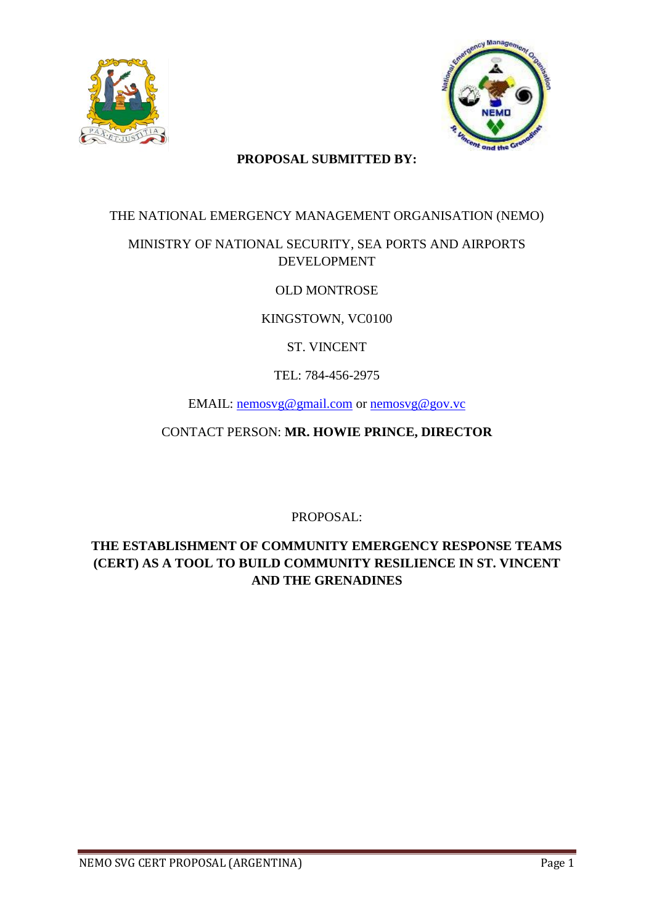



#### **PROPOSAL SUBMITTED BY:**

#### THE NATIONAL EMERGENCY MANAGEMENT ORGANISATION (NEMO)

## MINISTRY OF NATIONAL SECURITY, SEA PORTS AND AIRPORTS DEVELOPMENT

## OLD MONTROSE

## KINGSTOWN, VC0100

## ST. VINCENT

## TEL: 784-456-2975

EMAIL: [nemosvg@gmail.com](mailto:nemosvg@gmail.com) or [nemosvg@gov.vc](mailto:nemosvg@gov.vc)

CONTACT PERSON: **MR. HOWIE PRINCE, DIRECTOR**

PROPOSAL:

## **THE ESTABLISHMENT OF COMMUNITY EMERGENCY RESPONSE TEAMS (CERT) AS A TOOL TO BUILD COMMUNITY RESILIENCE IN ST. VINCENT AND THE GRENADINES**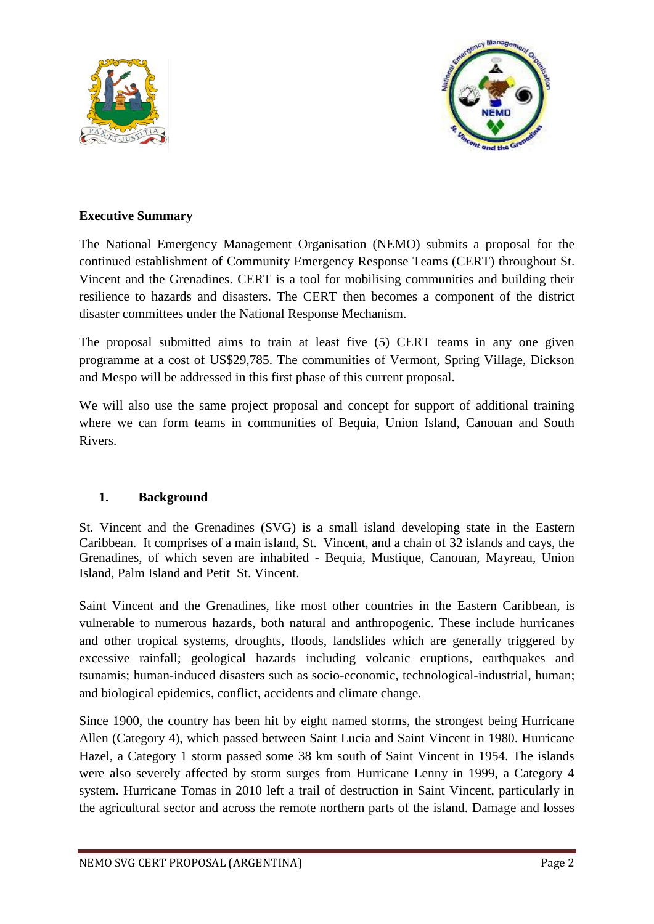



#### **Executive Summary**

The National Emergency Management Organisation (NEMO) submits a proposal for the continued establishment of Community Emergency Response Teams (CERT) throughout St. Vincent and the Grenadines. CERT is a tool for mobilising communities and building their resilience to hazards and disasters. The CERT then becomes a component of the district disaster committees under the National Response Mechanism.

The proposal submitted aims to train at least five (5) CERT teams in any one given programme at a cost of US\$29,785. The communities of Vermont, Spring Village, Dickson and Mespo will be addressed in this first phase of this current proposal.

We will also use the same project proposal and concept for support of additional training where we can form teams in communities of Bequia, Union Island, Canouan and South Rivers.

#### **1. Background**

St. Vincent and the Grenadines (SVG) is a small island developing state in the Eastern Caribbean. It comprises of a main island, St. Vincent, and a chain of 32 islands and cays, the Grenadines, of which seven are inhabited - Bequia, Mustique, Canouan, Mayreau, Union Island, Palm Island and Petit St. Vincent.

Saint Vincent and the Grenadines, like most other countries in the Eastern Caribbean, is vulnerable to numerous hazards, both natural and anthropogenic. These include hurricanes and other tropical systems, droughts, floods, landslides which are generally triggered by excessive rainfall; geological hazards including volcanic eruptions, earthquakes and tsunamis; human-induced disasters such as socio-economic, technological-industrial, human; and biological epidemics, conflict, accidents and climate change.

Since 1900, the country has been hit by eight named storms, the strongest being Hurricane Allen (Category 4), which passed between Saint Lucia and Saint Vincent in 1980. Hurricane Hazel, a Category 1 storm passed some 38 km south of Saint Vincent in 1954. The islands were also severely affected by storm surges from Hurricane Lenny in 1999, a Category 4 system. Hurricane Tomas in 2010 left a trail of destruction in Saint Vincent, particularly in the agricultural sector and across the remote northern parts of the island. Damage and losses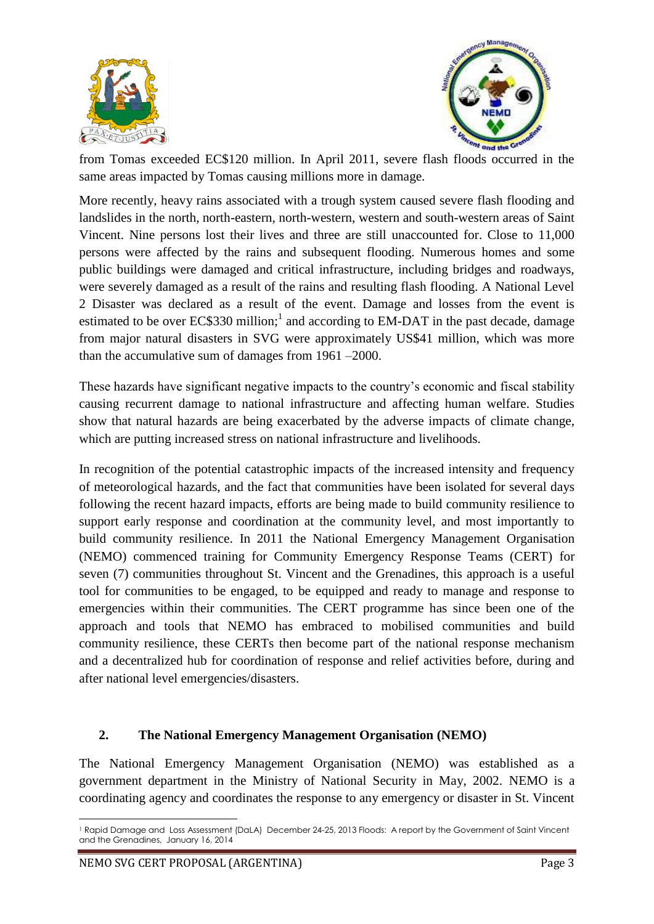



from Tomas exceeded EC\$120 million. In April 2011, severe flash floods occurred in the same areas impacted by Tomas causing millions more in damage.

More recently, heavy rains associated with a trough system caused severe flash flooding and landslides in the north, north-eastern, north-western, western and south-western areas of Saint Vincent. Nine persons lost their lives and three are still unaccounted for. Close to 11,000 persons were affected by the rains and subsequent flooding. Numerous homes and some public buildings were damaged and critical infrastructure, including bridges and roadways, were severely damaged as a result of the rains and resulting flash flooding. A National Level 2 Disaster was declared as a result of the event. Damage and losses from the event is estimated to be over  $EC$330$  million;<sup>1</sup> and according to EM-DAT in the past decade, damage from major natural disasters in SVG were approximately US\$41 million, which was more than the accumulative sum of damages from 1961 –2000.

These hazards have significant negative impacts to the country's economic and fiscal stability causing recurrent damage to national infrastructure and affecting human welfare. Studies show that natural hazards are being exacerbated by the adverse impacts of climate change, which are putting increased stress on national infrastructure and livelihoods.

In recognition of the potential catastrophic impacts of the increased intensity and frequency of meteorological hazards, and the fact that communities have been isolated for several days following the recent hazard impacts, efforts are being made to build community resilience to support early response and coordination at the community level, and most importantly to build community resilience. In 2011 the National Emergency Management Organisation (NEMO) commenced training for Community Emergency Response Teams (CERT) for seven (7) communities throughout St. Vincent and the Grenadines, this approach is a useful tool for communities to be engaged, to be equipped and ready to manage and response to emergencies within their communities. The CERT programme has since been one of the approach and tools that NEMO has embraced to mobilised communities and build community resilience, these CERTs then become part of the national response mechanism and a decentralized hub for coordination of response and relief activities before, during and after national level emergencies/disasters.

#### **2. The National Emergency Management Organisation (NEMO)**

The National Emergency Management Organisation (NEMO) was established as a government department in the Ministry of National Security in May, 2002. NEMO is a coordinating agency and coordinates the response to any emergency or disaster in St. Vincent

 $\overline{a}$ <sup>1</sup> Rapid Damage and Loss Assessment (DaLA) December 24-25, 2013 Floods: A report by the Government of Saint Vincent and the Grenadines, January 16, 2014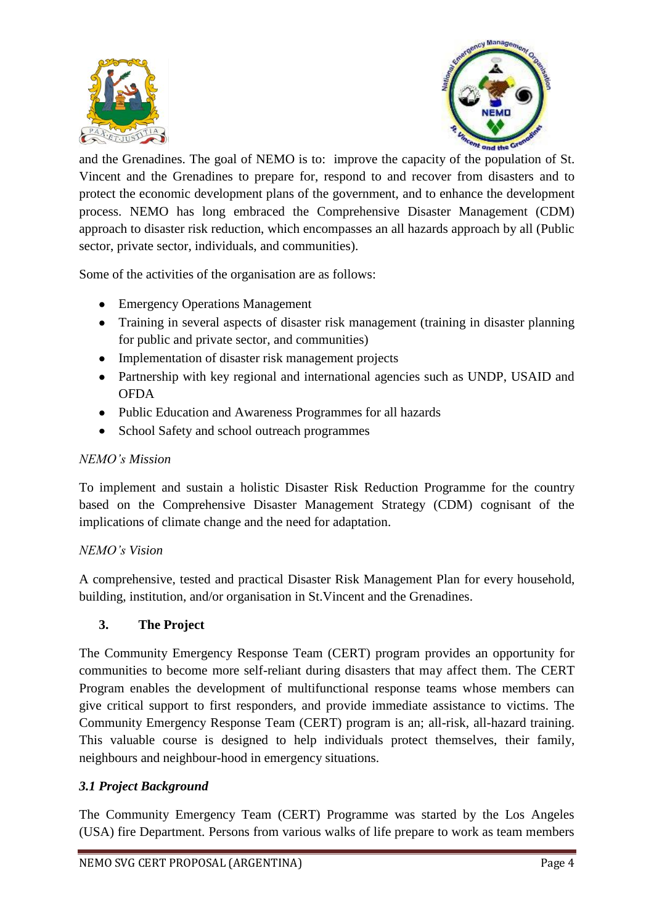



and the Grenadines. The goal of NEMO is to: improve the capacity of the population of St. Vincent and the Grenadines to prepare for, respond to and recover from disasters and to protect the economic development plans of the government, and to enhance the development process. NEMO has long embraced the Comprehensive Disaster Management (CDM) approach to disaster risk reduction, which encompasses an all hazards approach by all (Public sector, private sector, individuals, and communities).

Some of the activities of the organisation are as follows:

- Emergency Operations Management
- Training in several aspects of disaster risk management (training in disaster planning for public and private sector, and communities)
- Implementation of disaster risk management projects
- Partnership with key regional and international agencies such as UNDP, USAID and **OFDA**
- Public Education and Awareness Programmes for all hazards
- School Safety and school outreach programmes

#### *NEMO's Mission*

To implement and sustain a holistic Disaster Risk Reduction Programme for the country based on the Comprehensive Disaster Management Strategy (CDM) cognisant of the implications of climate change and the need for adaptation.

## *NEMO's Vision*

A comprehensive, tested and practical Disaster Risk Management Plan for every household, building, institution, and/or organisation in St.Vincent and the Grenadines.

## **3. The Project**

The Community Emergency Response Team (CERT) program provides an opportunity for communities to become more self-reliant during disasters that may affect them. The CERT Program enables the development of multifunctional response teams whose members can give critical support to first responders, and provide immediate assistance to victims. The Community Emergency Response Team (CERT) program is an; all-risk, all-hazard training. This valuable course is designed to help individuals protect themselves, their family, neighbours and neighbour-hood in emergency situations.

## *3.1 Project Background*

The Community Emergency Team (CERT) Programme was started by the Los Angeles (USA) fire Department. Persons from various walks of life prepare to work as team members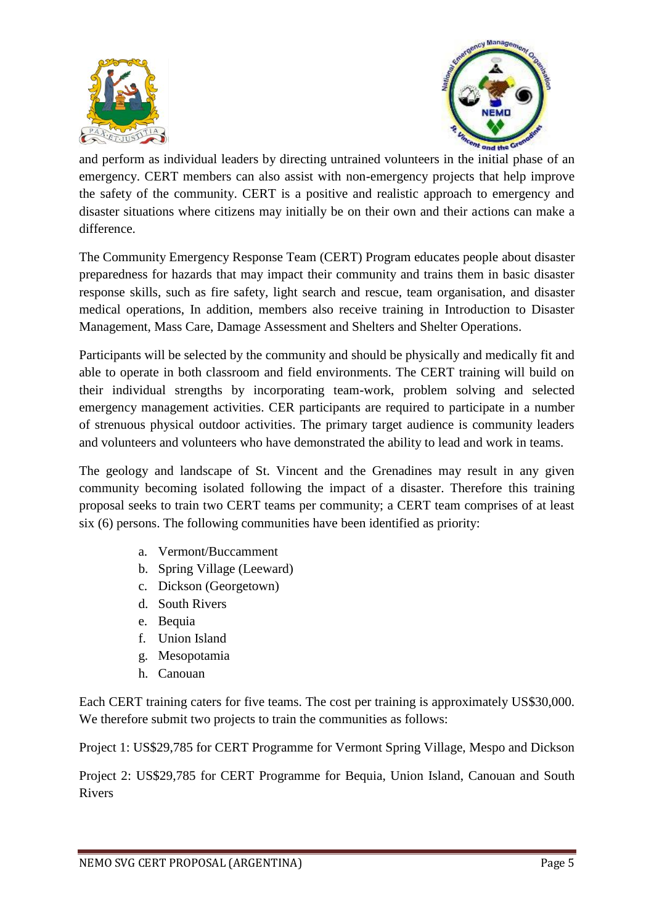



and perform as individual leaders by directing untrained volunteers in the initial phase of an emergency. CERT members can also assist with non-emergency projects that help improve the safety of the community. CERT is a positive and realistic approach to emergency and disaster situations where citizens may initially be on their own and their actions can make a difference.

The Community Emergency Response Team (CERT) Program educates people about disaster preparedness for hazards that may impact their community and trains them in basic disaster response skills, such as fire safety, light search and rescue, team organisation, and disaster medical operations, In addition, members also receive training in Introduction to Disaster Management, Mass Care, Damage Assessment and Shelters and Shelter Operations.

Participants will be selected by the community and should be physically and medically fit and able to operate in both classroom and field environments. The CERT training will build on their individual strengths by incorporating team-work, problem solving and selected emergency management activities. CER participants are required to participate in a number of strenuous physical outdoor activities. The primary target audience is community leaders and volunteers and volunteers who have demonstrated the ability to lead and work in teams.

The geology and landscape of St. Vincent and the Grenadines may result in any given community becoming isolated following the impact of a disaster. Therefore this training proposal seeks to train two CERT teams per community; a CERT team comprises of at least six (6) persons. The following communities have been identified as priority:

- a. Vermont/Buccamment
- b. Spring Village (Leeward)
- c. Dickson (Georgetown)
- d. South Rivers
- e. Bequia
- f. Union Island
- g. Mesopotamia
- h. Canouan

Each CERT training caters for five teams. The cost per training is approximately US\$30,000. We therefore submit two projects to train the communities as follows:

Project 1: US\$29,785 for CERT Programme for Vermont Spring Village, Mespo and Dickson

Project 2: US\$29,785 for CERT Programme for Bequia, Union Island, Canouan and South Rivers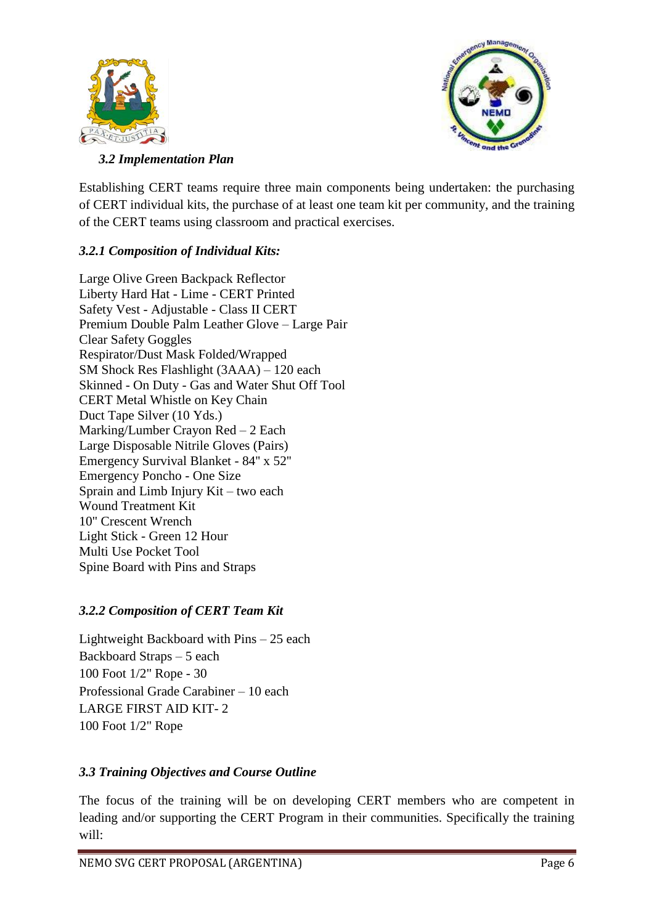



## *3.2 Implementation Plan*

Establishing CERT teams require three main components being undertaken: the purchasing of CERT individual kits, the purchase of at least one team kit per community, and the training of the CERT teams using classroom and practical exercises.

## *3.2.1 Composition of Individual Kits:*

Large Olive Green Backpack Reflector Liberty Hard Hat - Lime - CERT Printed Safety Vest - Adjustable - Class II CERT Premium Double Palm Leather Glove – Large Pair Clear Safety Goggles Respirator/Dust Mask Folded/Wrapped SM Shock Res Flashlight (3AAA) – 120 each Skinned - On Duty - Gas and Water Shut Off Tool CERT Metal Whistle on Key Chain Duct Tape Silver (10 Yds.) Marking/Lumber Crayon Red – 2 Each Large Disposable Nitrile Gloves (Pairs) Emergency Survival Blanket - 84'' x 52'' Emergency Poncho - One Size Sprain and Limb Injury Kit – two each Wound Treatment Kit 10" Crescent Wrench Light Stick - Green 12 Hour Multi Use Pocket Tool Spine Board with Pins and Straps

## *3.2.2 Composition of CERT Team Kit*

Lightweight Backboard with Pins – 25 each Backboard Straps – 5 each 100 Foot 1/2" Rope - 30 Professional Grade Carabiner – 10 each LARGE FIRST AID KIT- 2 100 Foot 1/2" Rope

## *3.3 Training Objectives and Course Outline*

The focus of the training will be on developing CERT members who are competent in leading and/or supporting the CERT Program in their communities. Specifically the training will: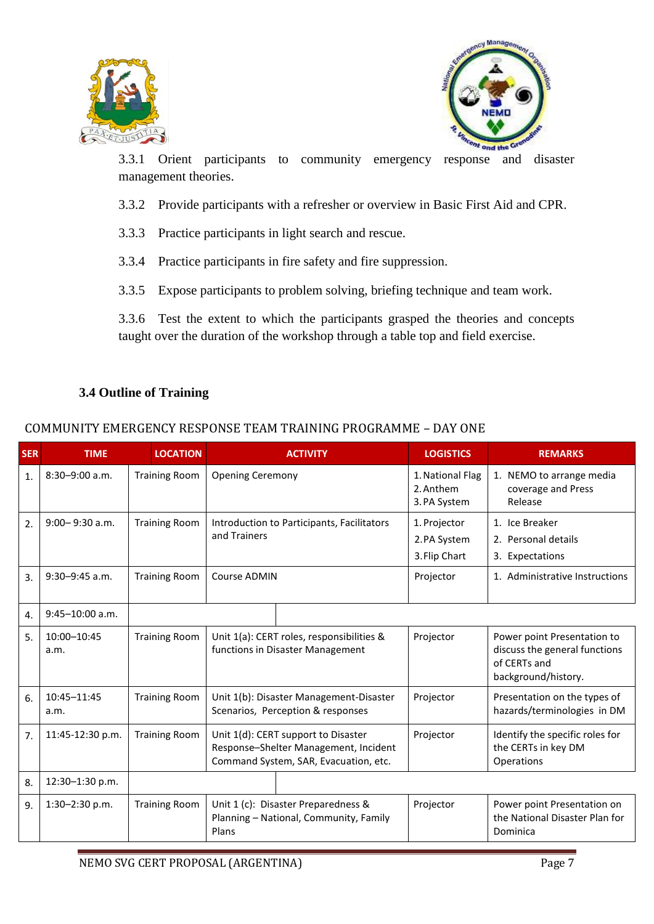



3.3.1 Orient participants to community emergency response and disaster management theories.

- 3.3.2 Provide participants with a refresher or overview in Basic First Aid and CPR.
- 3.3.3 Practice participants in light search and rescue.
- 3.3.4 Practice participants in fire safety and fire suppression.
- 3.3.5 Expose participants to problem solving, briefing technique and team work.

3.3.6 Test the extent to which the participants grasped the theories and concepts taught over the duration of the workshop through a table top and field exercise.

#### **3.4 Outline of Training**

## COMMUNITY EMERGENCY RESPONSE TEAM TRAINING PROGRAMME – DAY ONE

| <b>SER</b> | <b>TIME</b>         | <b>LOCATION</b>      | <b>ACTIVITY</b>                                                                                                       | <b>LOGISTICS</b>                              | <b>REMARKS</b>                                                                                      |
|------------|---------------------|----------------------|-----------------------------------------------------------------------------------------------------------------------|-----------------------------------------------|-----------------------------------------------------------------------------------------------------|
| 1.         | $8:30 - 9:00$ a.m.  | <b>Training Room</b> | <b>Opening Ceremony</b>                                                                                               | 1. National Flag<br>2. Anthem<br>3. PA System | 1. NEMO to arrange media<br>coverage and Press<br>Release                                           |
| 2.         | $9:00 - 9:30$ a.m.  | <b>Training Room</b> | Introduction to Participants, Facilitators<br>and Trainers                                                            | 1. Projector<br>2.PA System<br>3. Flip Chart  | 1. Ice Breaker<br>2. Personal details<br>3. Expectations                                            |
| 3.         | $9:30 - 9:45$ a.m.  | <b>Training Room</b> | Course ADMIN                                                                                                          | Projector                                     | 1. Administrative Instructions                                                                      |
| 4.         | $9:45 - 10:00$ a.m. |                      |                                                                                                                       |                                               |                                                                                                     |
| 5.         | 10:00-10:45<br>a.m. | <b>Training Room</b> | Unit 1(a): CERT roles, responsibilities &<br>functions in Disaster Management                                         | Projector                                     | Power point Presentation to<br>discuss the general functions<br>of CERTs and<br>background/history. |
| 6.         | 10:45-11:45<br>a.m. | <b>Training Room</b> | Unit 1(b): Disaster Management-Disaster<br>Scenarios, Perception & responses                                          | Projector                                     | Presentation on the types of<br>hazards/terminologies in DM                                         |
| 7.         | 11:45-12:30 p.m.    | <b>Training Room</b> | Unit 1(d): CERT support to Disaster<br>Response-Shelter Management, Incident<br>Command System, SAR, Evacuation, etc. | Projector                                     | Identify the specific roles for<br>the CERTs in key DM<br>Operations                                |
| 8.         | 12:30-1:30 p.m.     |                      |                                                                                                                       |                                               |                                                                                                     |
| 9.         | 1:30-2:30 p.m.      | <b>Training Room</b> | Unit 1 (c): Disaster Preparedness &<br>Planning - National, Community, Family<br>Plans                                | Projector                                     | Power point Presentation on<br>the National Disaster Plan for<br>Dominica                           |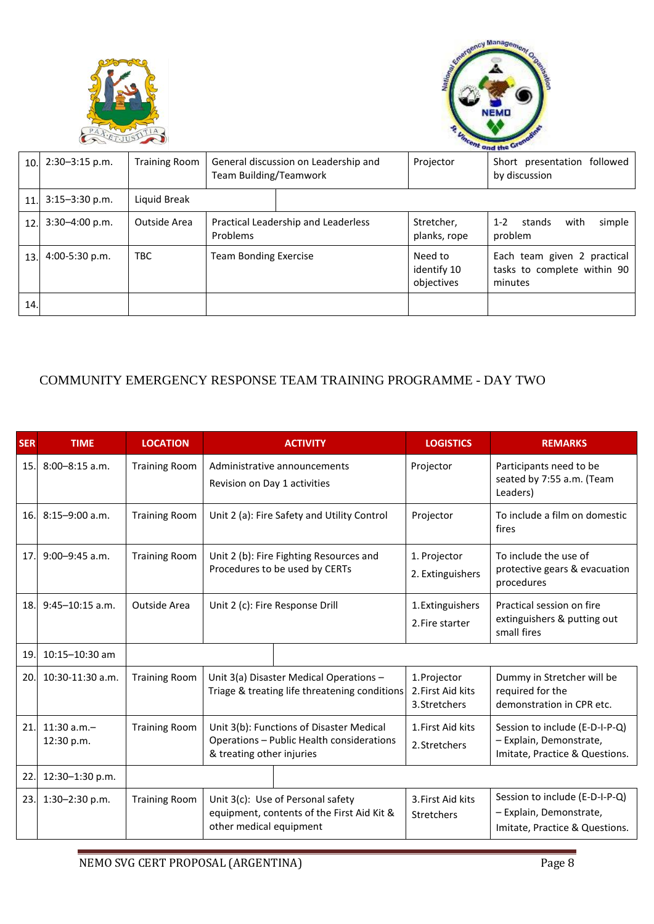



|      |                    |                      |                                                                |  | ond the Green                        |                                                                       |  |
|------|--------------------|----------------------|----------------------------------------------------------------|--|--------------------------------------|-----------------------------------------------------------------------|--|
| 10.1 | $2:30 - 3:15$ p.m. | <b>Training Room</b> | General discussion on Leadership and<br>Team Building/Teamwork |  | Projector                            | Short presentation followed<br>by discussion                          |  |
| 11.  | $3:15 - 3:30$ p.m. | Liquid Break         |                                                                |  |                                      |                                                                       |  |
| 12.  | $3:30 - 4:00$ p.m. | Outside Area         | Practical Leadership and Leaderless<br>Problems                |  | Stretcher,<br>planks, rope           | $1 - 2$<br>with<br>stands<br>simple<br>problem                        |  |
| 13.  | $4:00-5:30$ p.m.   | <b>TBC</b>           | <b>Team Bonding Exercise</b>                                   |  | Need to<br>identify 10<br>objectives | Each team given 2 practical<br>tasks to complete within 90<br>minutes |  |
| 14.  |                    |                      |                                                                |  |                                      |                                                                       |  |

## COMMUNITY EMERGENCY RESPONSE TEAM TRAINING PROGRAMME - DAY TWO

| <b>SER</b> | <b>TIME</b>                 | <b>LOCATION</b>      | <b>ACTIVITY</b>                                                                                                    | <b>LOGISTICS</b>                                   | <b>REMARKS</b>                                                                              |
|------------|-----------------------------|----------------------|--------------------------------------------------------------------------------------------------------------------|----------------------------------------------------|---------------------------------------------------------------------------------------------|
| 15.        | $8:00 - 8:15$ a.m.          | <b>Training Room</b> | Administrative announcements<br>Revision on Day 1 activities                                                       | Projector                                          | Participants need to be<br>seated by 7:55 a.m. (Team<br>Leaders)                            |
| 16.        | $8:15-9:00$ a.m.            | <b>Training Room</b> | Unit 2 (a): Fire Safety and Utility Control                                                                        | Projector                                          | To include a film on domestic<br>fires                                                      |
| 17.        | $9:00 - 9:45$ a.m.          | <b>Training Room</b> | Unit 2 (b): Fire Fighting Resources and<br>Procedures to be used by CERTs                                          | 1. Projector<br>2. Extinguishers                   | To include the use of<br>protective gears & evacuation<br>procedures                        |
| 18.        | $9:45 - 10:15$ a.m.         | Outside Area         | Unit 2 (c): Fire Response Drill                                                                                    | 1. Extinguishers<br>2. Fire starter                | Practical session on fire<br>extinguishers & putting out<br>small fires                     |
| 19.        | $10:15 - 10:30$ am          |                      |                                                                                                                    |                                                    |                                                                                             |
| 20.        | $10:30-11:30$ a.m.          | <b>Training Room</b> | Unit 3(a) Disaster Medical Operations -<br>Triage & treating life threatening conditions                           | 1. Projector<br>2. First Aid kits<br>3. Stretchers | Dummy in Stretcher will be<br>required for the<br>demonstration in CPR etc.                 |
| 21.        | $11:30$ a.m.-<br>12:30 p.m. | <b>Training Room</b> | Unit 3(b): Functions of Disaster Medical<br>Operations - Public Health considerations<br>& treating other injuries | 1. First Aid kits<br>2. Stretchers                 | Session to include (E-D-I-P-Q)<br>- Explain, Demonstrate,<br>Imitate, Practice & Questions. |
| 22.        | 12:30-1:30 p.m.             |                      |                                                                                                                    |                                                    |                                                                                             |
| 23.        | 1:30-2:30 p.m.              | <b>Training Room</b> | Unit 3(c): Use of Personal safety<br>equipment, contents of the First Aid Kit &<br>other medical equipment         | 3. First Aid kits<br><b>Stretchers</b>             | Session to include (E-D-I-P-Q)<br>- Explain, Demonstrate,<br>Imitate, Practice & Questions. |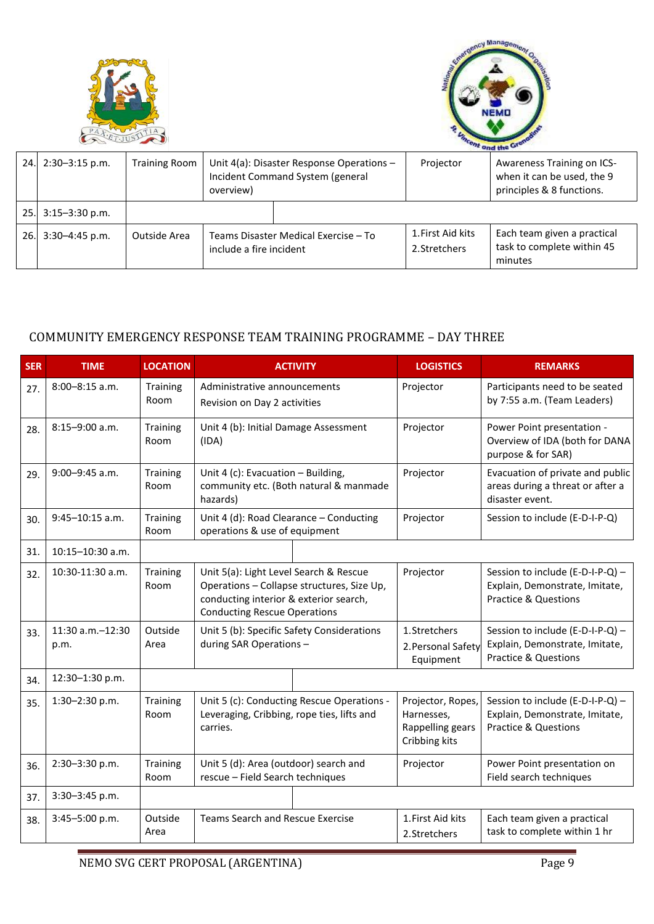|     |                    |                      |                                                                 |                                                                                  | ency Manage                        | cent and the GT                                                                       |
|-----|--------------------|----------------------|-----------------------------------------------------------------|----------------------------------------------------------------------------------|------------------------------------|---------------------------------------------------------------------------------------|
| 24. | $2:30-3:15$ p.m.   | <b>Training Room</b> | overview)                                                       | Unit $4(a)$ : Disaster Response Operations -<br>Incident Command System (general |                                    | Awareness Training on ICS-<br>when it can be used, the 9<br>principles & 8 functions. |
| 25. | $3:15 - 3:30$ p.m. |                      |                                                                 |                                                                                  |                                    |                                                                                       |
| 26. | $3:30-4:45$ p.m.   | Outside Area         | Teams Disaster Medical Exercise - To<br>include a fire incident |                                                                                  | 1. First Aid kits<br>2. Stretchers | Each team given a practical<br>task to complete within 45<br>minutes                  |

## COMMUNITY EMERGENCY RESPONSE TEAM TRAINING PROGRAMME – DAY THREE

| <b>SER</b> | <b>TIME</b>                   | <b>LOCATION</b>         | <b>ACTIVITY</b>                                                                                      |                                                                                                                                                                       | <b>LOGISTICS</b>                                                     | <b>REMARKS</b>                                                                                        |
|------------|-------------------------------|-------------------------|------------------------------------------------------------------------------------------------------|-----------------------------------------------------------------------------------------------------------------------------------------------------------------------|----------------------------------------------------------------------|-------------------------------------------------------------------------------------------------------|
| 27.        | 8:00-8:15 a.m.                | <b>Training</b><br>Room | Administrative announcements<br>Revision on Day 2 activities                                         |                                                                                                                                                                       | Projector                                                            | Participants need to be seated<br>by 7:55 a.m. (Team Leaders)                                         |
| 28.        | $8:15 - 9:00$ a.m.            | Training<br>Room        | Unit 4 (b): Initial Damage Assessment<br>(IDA)                                                       |                                                                                                                                                                       | Projector                                                            | Power Point presentation -<br>Overview of IDA (both for DANA<br>purpose & for SAR)                    |
| 29.        | $9:00 - 9:45$ a.m.            | Training<br>Room        | hazards)                                                                                             | Unit 4 (c): Evacuation $-$ Building,<br>Projector<br>community etc. (Both natural & manmade                                                                           |                                                                      | Evacuation of private and public<br>areas during a threat or after a<br>disaster event.               |
| 30.        | $9:45 - 10:15$ a.m.           | Training<br>Room        | Unit 4 (d): Road Clearance - Conducting<br>operations & use of equipment                             |                                                                                                                                                                       | Projector                                                            | Session to include (E-D-I-P-Q)                                                                        |
| 31.        | $10:15 - 10:30$ a.m.          |                         |                                                                                                      |                                                                                                                                                                       |                                                                      |                                                                                                       |
| 32.        | 10:30-11:30 a.m.              | Training<br>Room        |                                                                                                      | Unit 5(a): Light Level Search & Rescue<br>Operations - Collapse structures, Size Up,<br>conducting interior & exterior search,<br><b>Conducting Rescue Operations</b> |                                                                      | Session to include (E-D-I-P-Q) -<br>Explain, Demonstrate, Imitate,<br><b>Practice &amp; Questions</b> |
| 33.        | $11:30$ a.m. $-12:30$<br>p.m. | Outside<br>Area         | Unit 5 (b): Specific Safety Considerations<br>during SAR Operations -                                |                                                                                                                                                                       | 1. Stretchers<br>2. Personal Safety<br>Equipment                     | Session to include (E-D-I-P-Q) -<br>Explain, Demonstrate, Imitate,<br><b>Practice &amp; Questions</b> |
| 34.        | 12:30-1:30 p.m.               |                         |                                                                                                      |                                                                                                                                                                       |                                                                      |                                                                                                       |
| 35.        | 1:30-2:30 p.m.                | Training<br>Room        | Unit 5 (c): Conducting Rescue Operations -<br>Leveraging, Cribbing, rope ties, lifts and<br>carries. |                                                                                                                                                                       | Projector, Ropes,<br>Harnesses,<br>Rappelling gears<br>Cribbing kits | Session to include (E-D-I-P-Q) -<br>Explain, Demonstrate, Imitate,<br><b>Practice &amp; Questions</b> |
| 36.        | 2:30-3:30 p.m.                | <b>Training</b><br>Room | Unit 5 (d): Area (outdoor) search and<br>rescue - Field Search techniques                            |                                                                                                                                                                       | Projector                                                            | Power Point presentation on<br>Field search techniques                                                |
| 37.        | 3:30-3:45 p.m.                |                         |                                                                                                      |                                                                                                                                                                       |                                                                      |                                                                                                       |
| 38.        | 3:45-5:00 p.m.                | Outside<br>Area         | <b>Teams Search and Rescue Exercise</b>                                                              |                                                                                                                                                                       | 1. First Aid kits<br>2.Stretchers                                    | Each team given a practical<br>task to complete within 1 hr                                           |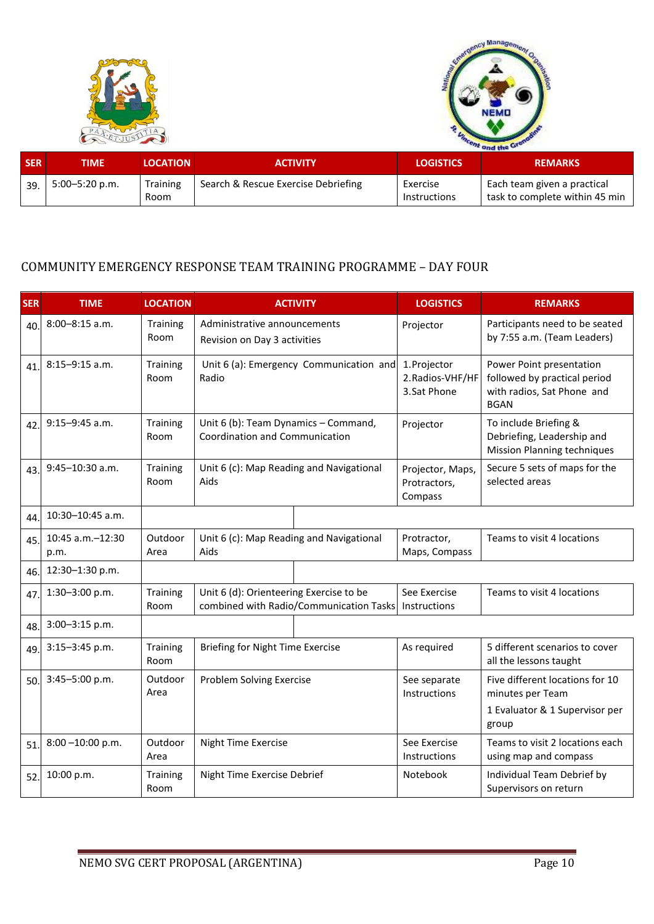



|            |                    |                                    |                                     | ond the Green            |                                                               |  |  |
|------------|--------------------|------------------------------------|-------------------------------------|--------------------------|---------------------------------------------------------------|--|--|
| <b>SER</b> | TIME               | <b>LOCATION</b><br><b>ACTIVITY</b> |                                     | <b>LOGISTICS</b>         | <b>REMARKS</b>                                                |  |  |
| 39         | $5:00 - 5:20$ p.m. | <b>Training</b><br>Room            | Search & Rescue Exercise Debriefing | Exercise<br>Instructions | Each team given a practical<br>task to complete within 45 min |  |  |

#### COMMUNITY EMERGENCY RESPONSE TEAM TRAINING PROGRAMME – DAY FOUR

| <b>SER</b> | <b>TIME</b>              | <b>LOCATION</b>  |                                                                                     | <b>ACTIVITY</b>                                              | <b>LOGISTICS</b>                                | <b>REMARKS</b>                                                                                        |                                                                                           |
|------------|--------------------------|------------------|-------------------------------------------------------------------------------------|--------------------------------------------------------------|-------------------------------------------------|-------------------------------------------------------------------------------------------------------|-------------------------------------------------------------------------------------------|
| 40.        | 8:00-8:15 a.m.           | Training<br>Room |                                                                                     | Administrative announcements<br>Revision on Day 3 activities |                                                 | Participants need to be seated<br>by 7:55 a.m. (Team Leaders)                                         |                                                                                           |
| 41.        | $8:15-9:15$ a.m.         | Training<br>Room | Radio                                                                               | Unit 6 (a): Emergency Communication and                      | 1. Projector<br>2. Radios-VHF/HF<br>3.Sat Phone | Power Point presentation<br>followed by practical period<br>with radios, Sat Phone and<br><b>BGAN</b> |                                                                                           |
| 42.        | $9:15-9:45$ a.m.         | Training<br>Room | Unit 6 (b): Team Dynamics - Command,<br>Projector<br>Coordination and Communication |                                                              |                                                 |                                                                                                       | To include Briefing &<br>Debriefing, Leadership and<br><b>Mission Planning techniques</b> |
| 43         | 9:45-10:30 a.m.          | Training<br>Room | Unit 6 (c): Map Reading and Navigational<br>Aids                                    |                                                              | Projector, Maps,<br>Protractors,<br>Compass     | Secure 5 sets of maps for the<br>selected areas                                                       |                                                                                           |
| 44.        | 10:30-10:45 a.m.         |                  |                                                                                     |                                                              |                                                 |                                                                                                       |                                                                                           |
| 45.        | 10:45 a.m.-12:30<br>p.m. | Outdoor<br>Area  | Unit 6 (c): Map Reading and Navigational<br>Aids                                    |                                                              | Protractor,<br>Maps, Compass                    | Teams to visit 4 locations                                                                            |                                                                                           |
| 46.        | 12:30-1:30 p.m.          |                  |                                                                                     |                                                              |                                                 |                                                                                                       |                                                                                           |
| 47         | 1:30-3:00 p.m.           | Training<br>Room | Unit 6 (d): Orienteering Exercise to be                                             | combined with Radio/Communication Tasks                      | See Exercise<br>Instructions                    | Teams to visit 4 locations                                                                            |                                                                                           |
| 48.        | 3:00-3:15 p.m.           |                  |                                                                                     |                                                              |                                                 |                                                                                                       |                                                                                           |
| 49         | 3:15-3:45 p.m.           | Training<br>Room | Briefing for Night Time Exercise                                                    |                                                              | As required                                     | 5 different scenarios to cover<br>all the lessons taught                                              |                                                                                           |
| 50.        | 3:45-5:00 p.m.           | Outdoor<br>Area  | Problem Solving Exercise                                                            |                                                              | See separate<br>Instructions                    | Five different locations for 10<br>minutes per Team                                                   |                                                                                           |
|            |                          |                  |                                                                                     |                                                              |                                                 | 1 Evaluator & 1 Supervisor per<br>group                                                               |                                                                                           |
| 51.        | $8:00 - 10:00$ p.m.      | Outdoor<br>Area  | <b>Night Time Exercise</b>                                                          |                                                              | See Exercise<br>Instructions                    | Teams to visit 2 locations each<br>using map and compass                                              |                                                                                           |
| 52         | 10:00 p.m.               | Training<br>Room | Night Time Exercise Debrief                                                         |                                                              | Notebook                                        | Individual Team Debrief by<br>Supervisors on return                                                   |                                                                                           |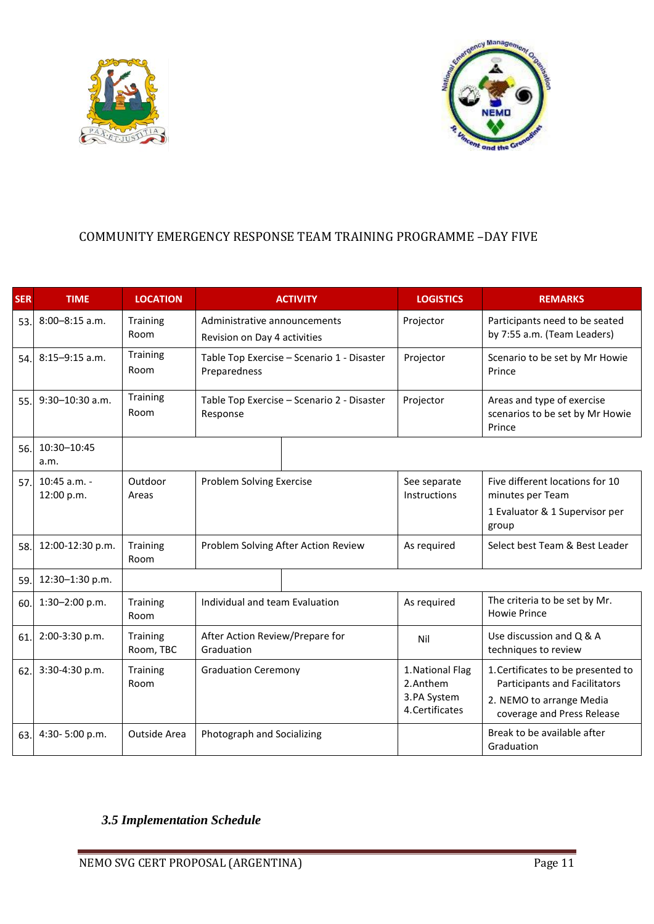



# COMMUNITY EMERGENCY RESPONSE TEAM TRAINING PROGRAMME –DAY FIVE

| <b>SER</b> | <b>TIME</b>                  | <b>LOCATION</b>              |                                                              | <b>ACTIVITY</b>                            | <b>LOGISTICS</b>                                               | <b>REMARKS</b>                                                                                                                |
|------------|------------------------------|------------------------------|--------------------------------------------------------------|--------------------------------------------|----------------------------------------------------------------|-------------------------------------------------------------------------------------------------------------------------------|
| 53.        | $8:00 - 8:15$ a.m.           | <b>Training</b><br>Room      | Administrative announcements<br>Revision on Day 4 activities |                                            | Projector                                                      | Participants need to be seated<br>by 7:55 a.m. (Team Leaders)                                                                 |
| 54.        | $8:15-9:15$ a.m.             | Training<br>Room             | Preparedness                                                 | Table Top Exercise - Scenario 1 - Disaster | Projector                                                      | Scenario to be set by Mr Howie<br>Prince                                                                                      |
| 55.        | $9:30 - 10:30$ a.m.          | <b>Training</b><br>Room      | Table Top Exercise - Scenario 2 - Disaster<br>Response       |                                            | Projector                                                      | Areas and type of exercise<br>scenarios to be set by Mr Howie<br>Prince                                                       |
| 56.        | 10:30-10:45<br>a.m.          |                              |                                                              |                                            |                                                                |                                                                                                                               |
| 57.        | $10:45$ a.m. -<br>12:00 p.m. | Outdoor<br>Areas             |                                                              | Problem Solving Exercise                   |                                                                | Five different locations for 10<br>minutes per Team<br>1 Evaluator & 1 Supervisor per<br>group                                |
| 58.        | 12:00-12:30 p.m.             | <b>Training</b><br>Room      |                                                              | Problem Solving After Action Review        | As required                                                    | Select best Team & Best Leader                                                                                                |
| 59.        | 12:30-1:30 p.m.              |                              |                                                              |                                            |                                                                |                                                                                                                               |
| 60.        | 1:30-2:00 p.m.               | <b>Training</b><br>Room      | Individual and team Evaluation                               |                                            | As required                                                    | The criteria to be set by Mr.<br><b>Howie Prince</b>                                                                          |
| 61.        | 2:00-3:30 p.m.               | <b>Training</b><br>Room, TBC | After Action Review/Prepare for<br>Graduation                |                                            | Nil                                                            | Use discussion and Q & A<br>techniques to review                                                                              |
| 62         | 3:30-4:30 p.m.               | <b>Training</b><br>Room      | <b>Graduation Ceremony</b>                                   |                                            | 1. National Flag<br>2.Anthem<br>3.PA System<br>4. Certificates | 1. Certificates to be presented to<br>Participants and Facilitators<br>2. NEMO to arrange Media<br>coverage and Press Release |
| 63.        | 4:30-5:00 p.m.               | Outside Area                 | Photograph and Socializing                                   |                                            |                                                                | Break to be available after<br>Graduation                                                                                     |

# *3.5 Implementation Schedule*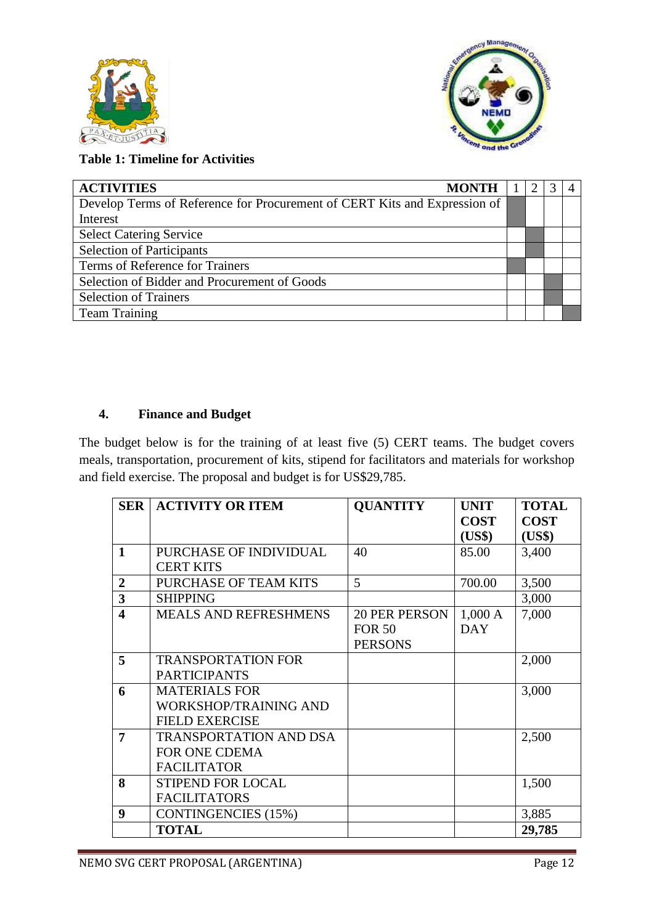



**Table 1: Timeline for Activities**

| <b>ACTIVITIES</b><br><b>MONTH</b>                                         |  |  |  |  |
|---------------------------------------------------------------------------|--|--|--|--|
| Develop Terms of Reference for Procurement of CERT Kits and Expression of |  |  |  |  |
| Interest                                                                  |  |  |  |  |
| <b>Select Catering Service</b>                                            |  |  |  |  |
| <b>Selection of Participants</b>                                          |  |  |  |  |
| Terms of Reference for Trainers                                           |  |  |  |  |
| Selection of Bidder and Procurement of Goods                              |  |  |  |  |
| <b>Selection of Trainers</b>                                              |  |  |  |  |
| <b>Team Training</b>                                                      |  |  |  |  |

#### **4. Finance and Budget**

The budget below is for the training of at least five (5) CERT teams. The budget covers meals, transportation, procurement of kits, stipend for facilitators and materials for workshop and field exercise. The proposal and budget is for US\$29,785.

| <b>SER</b>              | <b>ACTIVITY OR ITEM</b>       | <b>QUANTITY</b>      | <b>UNIT</b> | <b>TOTAL</b> |
|-------------------------|-------------------------------|----------------------|-------------|--------------|
|                         |                               |                      | <b>COST</b> | <b>COST</b>  |
|                         |                               |                      | (US\$)      | (US\$)       |
| $\mathbf{1}$            | PURCHASE OF INDIVIDUAL        | 40                   | 85.00       | 3,400        |
|                         | <b>CERT KITS</b>              |                      |             |              |
| $\overline{2}$          | PURCHASE OF TEAM KITS         | 5                    | 700.00      | 3,500        |
| $\overline{\mathbf{3}}$ | <b>SHIPPING</b>               |                      |             | 3,000        |
| $\overline{\mathbf{4}}$ | <b>MEALS AND REFRESHMENS</b>  | <b>20 PER PERSON</b> | 1,000 A     | 7,000        |
|                         |                               | <b>FOR 50</b>        | <b>DAY</b>  |              |
|                         |                               | <b>PERSONS</b>       |             |              |
| 5                       | <b>TRANSPORTATION FOR</b>     |                      |             | 2,000        |
|                         | <b>PARTICIPANTS</b>           |                      |             |              |
| 6                       | <b>MATERIALS FOR</b>          |                      |             | 3,000        |
|                         | <b>WORKSHOP/TRAINING AND</b>  |                      |             |              |
|                         | <b>FIELD EXERCISE</b>         |                      |             |              |
| 7                       | <b>TRANSPORTATION AND DSA</b> |                      |             | 2,500        |
|                         | <b>FOR ONE CDEMA</b>          |                      |             |              |
|                         | <b>FACILITATOR</b>            |                      |             |              |
| 8                       | <b>STIPEND FOR LOCAL</b>      |                      |             | 1,500        |
|                         | <b>FACILITATORS</b>           |                      |             |              |
| 9                       | <b>CONTINGENCIES (15%)</b>    |                      |             | 3,885        |
|                         | <b>TOTAL</b>                  |                      |             | 29,785       |